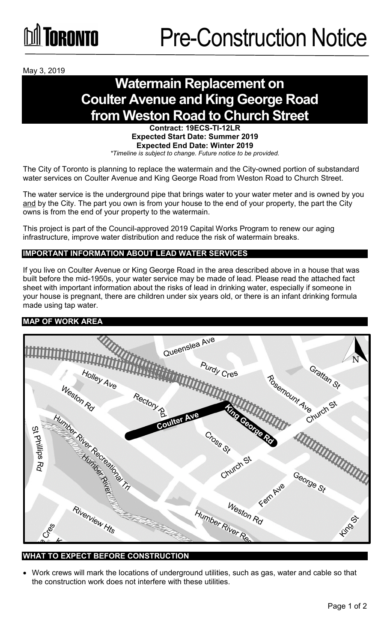

May 3, 2019

# **Watermain Replacement on Coulter Avenue and King George Road from Weston Road to Church Street**

**Contract: 19ECS-TI-12LR Expected Start Date: Summer 2019 Expected End Date: Winter 2019** *\*Timeline is subject to change. Future notice to be provided.*

The City of Toronto is planning to replace the watermain and the City-owned portion of substandard water services on Coulter Avenue and King George Road from Weston Road to Church Street.

The water service is the underground pipe that brings water to your water meter and is owned by you and by the City. The part you own is from your house to the end of your property, the part the City owns is from the end of your property to the watermain.

This project is part of the Council-approved 2019 Capital Works Program to renew our aging infrastructure, improve water distribution and reduce the risk of watermain breaks.

# **IMPORTANT INFORMATION ABOUT LEAD WATER SERVICES**

If you live on Coulter Avenue or King George Road in the area described above in a house that was built before the mid-1950s, your water service may be made of lead. Please read the attached fact sheet with important information about the risks of lead in drinking water, especially if someone in your house is pregnant, there are children under six years old, or there is an infant drinking formula made using tap water.

### **MAP OF WORK AREA**



#### **WHAT TO EXPECT BEFORE CONSTRUCTION**

• Work crews will mark the locations of underground utilities, such as gas, water and cable so that the construction work does not interfere with these utilities.